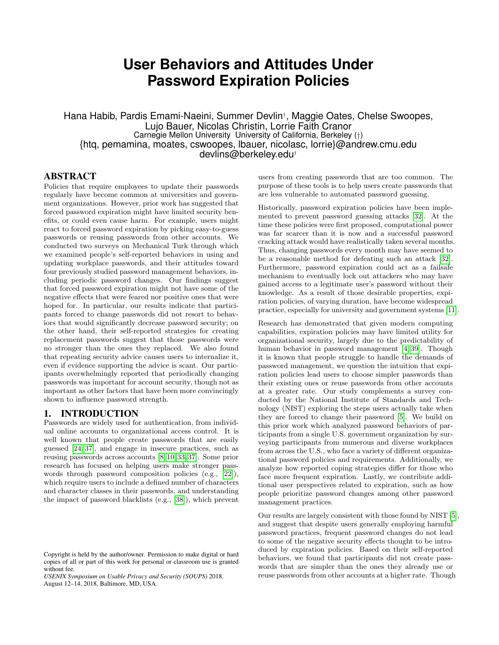# **User Behaviors and Attitudes Under Password Expiration Policies**

Hana Habib, Pardis Emami-Naeini, Summer Devlin† , Maggie Oates, Chelse Swoopes, Lujo Bauer, Nicolas Christin, Lorrie Faith Cranor Carnegie Mellon University University of California, Berkeley (†) {htq, pemamina, moates, cswoopes, lbauer, nicolasc, lorrie}@andrew.cmu.edu devlins@berkeley.edu†

## ABSTRACT

Policies that require employees to update their passwords regularly have become common at universities and government organizations. However, prior work has suggested that forced password expiration might have limited security benefits, or could even cause harm. For example, users might react to forced password expiration by picking easy-to-guess passwords or reusing passwords from other accounts. We conducted two surveys on Mechanical Turk through which we examined people's self-reported behaviors in using and updating workplace passwords, and their attitudes toward four previously studied password management behaviors, including periodic password changes. Our findings suggest that forced password expiration might not have some of the negative effects that were feared nor positive ones that were hoped for. In particular, our results indicate that participants forced to change passwords did not resort to behaviors that would significantly decrease password security; on the other hand, their self-reported strategies for creating replacement passwords suggest that those passwords were no stronger than the ones they replaced. We also found that repeating security advice causes users to internalize it, even if evidence supporting the advice is scant. Our participants overwhelmingly reported that periodically changing passwords was important for account security, though not as important as other factors that have been more convincingly shown to influence password strength.

#### 1. INTRODUCTION

Passwords are widely used for authentication, from individual online accounts to organizational access control. It is well known that people create passwords that are easily guessed [\[24,](#page-11-0) [37\]](#page-11-1), and engage in insecure practices, such as reusing passwords across accounts [\[8,](#page-10-0) [10,](#page-10-1) [33,](#page-11-2) [37\]](#page-11-1). Some prior research has focused on helping users make stronger passwords through password composition policies (e.g., [\[22\]](#page-11-3)), which require users to include a defined number of characters and character classes in their passwords, and understanding the impact of password blacklists (e.g., [\[38\]](#page-11-4)), which prevent

users from creating passwords that are too common. The purpose of these tools is to help users create passwords that are less vulnerable to automated password guessing.

Historically, password expiration policies have been implemented to prevent password guessing attacks [\[32\]](#page-11-5). At the time these policies were first proposed, computational power was far scarcer than it is now and a successful password cracking attack would have realistically taken several months. Thus, changing passwords every month may have seemed to be a reasonable method for defeating such an attack [\[32\]](#page-11-5). Furthermore, password expiration could act as a failsafe mechanism to eventually lock out attackers who may have gained access to a legitimate user's password without their knowledge. As a result of those desirable properties, expiration policies, of varying duration, have become widespread practice, especially for university and government systems [\[11\]](#page-10-2).

Research has demonstrated that given modern computing capabilities, expiration policies may have limited utility for organizational security, largely due to the predictability of human behavior in password management [\[4,](#page-10-3) [39\]](#page-11-6). Though it is known that people struggle to handle the demands of password management, we question the intuition that expiration policies lead users to choose simpler passwords than their existing ones or reuse passwords from other accounts at a greater rate. Our study complements a survey conducted by the National Institute of Standards and Technology (NIST) exploring the steps users actually take when they are forced to change their password [\[5\]](#page-10-4). We build on this prior work which analyzed password behaviors of participants from a single U.S. government organization by surveying participants from numerous and diverse workplaces from across the U.S., who face a variety of different organizational password policies and requirements. Additionally, we analyze how reported coping strategies differ for those who face more frequent expiration. Lastly, we contribute additional user perspectives related to expiration, such as how people prioritize password changes among other password management practices.

Our results are largely consistent with those found by NIST [\[5\]](#page-10-4), and suggest that despite users generally employing harmful password practices, frequent password changes do not lead to some of the negative security effects thought to be introduced by expiration policies. Based on their self-reported behaviors, we found that participants did not create passwords that are simpler than the ones they already use or reuse passwords from other accounts at a higher rate. Though

Copyright is held by the author/owner. Permission to make digital or hard copies of all or part of this work for personal or classroom use is granted without fee.

*USENIX Symposium on Usable Privacy and Security (SOUPS)* 2018. August 12–14, 2018, Baltimore, MD, USA.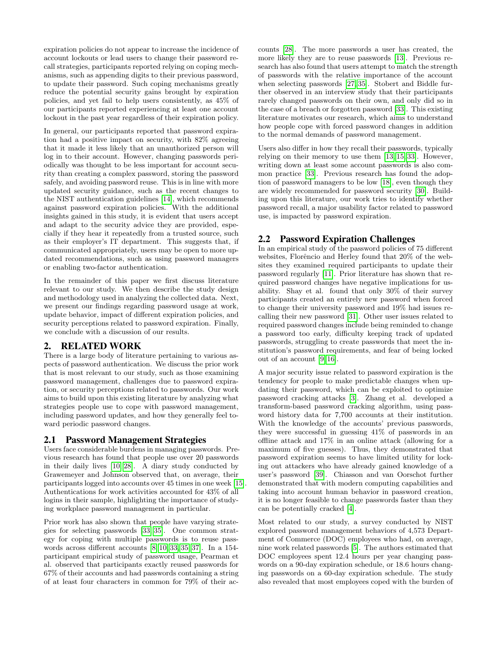expiration policies do not appear to increase the incidence of account lockouts or lead users to change their password recall strategies, participants reported relying on coping mechanisms, such as appending digits to their previous password, to update their password. Such coping mechanisms greatly reduce the potential security gains brought by expiration policies, and yet fail to help users consistently, as 45% of our participants reported experiencing at least one account lockout in the past year regardless of their expiration policy.

In general, our participants reported that password expiration had a positive impact on security, with 82% agreeing that it made it less likely that an unauthorized person will log in to their account. However, changing passwords periodically was thought to be less important for account security than creating a complex password, storing the password safely, and avoiding password reuse. This is in line with more updated security guidance, such as the recent changes to the NIST authentication guidelines [\[14\]](#page-10-5), which recommends against password expiration policies. With the additional insights gained in this study, it is evident that users accept and adapt to the security advice they are provided, especially if they hear it repeatedly from a trusted source, such as their employer's IT department. This suggests that, if communicated appropriately, users may be open to more updated recommendations, such as using password managers or enabling two-factor authentication.

In the remainder of this paper we first discuss literature relevant to our study. We then describe the study design and methodology used in analyzing the collected data. Next, we present our findings regarding password usage at work, update behavior, impact of different expiration policies, and security perceptions related to password expiration. Finally, we conclude with a discussion of our results.

## 2. RELATED WORK

There is a large body of literature pertaining to various aspects of password authentication. We discuss the prior work that is most relevant to our study, such as those examining password management, challenges due to password expiration, or security perceptions related to passwords. Our work aims to build upon this existing literature by analyzing what strategies people use to cope with password management, including password updates, and how they generally feel toward periodic password changes.

## 2.1 Password Management Strategies

Users face considerable burdens in managing passwords. Previous research has found that people use over 20 passwords in their daily lives [\[10,](#page-10-1) [28\]](#page-11-7). A diary study conducted by Grawemeyer and Johnson observed that, on average, their participants logged into accounts over 45 times in one week [\[15\]](#page-10-6). Authentications for work activities accounted for 43% of all logins in their sample, highlighting the importance of studying workplace password management in particular.

Prior work has also shown that people have varying strategies for selecting passwords [\[33,](#page-11-2) [35\]](#page-11-8). One common strategy for coping with multiple passwords is to reuse passwords across different accounts [\[8,](#page-10-0) [10,](#page-10-1) [33,](#page-11-2) [35,](#page-11-8) [37\]](#page-11-1). In a 154 participant empirical study of password usage, Pearman et al. observed that participants exactly reused passwords for 67% of their accounts and had passwords containing a string of at least four characters in common for 79% of their accounts [\[28\]](#page-11-7). The more passwords a user has created, the more likely they are to reuse passwords [\[13\]](#page-10-7). Previous research has also found that users attempt to match the strength of passwords with the relative importance of the account when selecting passwords [\[27,](#page-11-9) [35\]](#page-11-8). Stobert and Biddle further observed in an interview study that their participants rarely changed passwords on their own, and only did so in the case of a breach or forgotten password [\[33\]](#page-11-2). This existing literature motivates our research, which aims to understand how people cope with forced password changes in addition to the normal demands of password management.

Users also differ in how they recall their passwords, typically relying on their memory to use them [\[13,](#page-10-7) [15,](#page-10-6) [33\]](#page-11-2). However, writing down at least some account passwords is also common practice [\[33\]](#page-11-2). Previous research has found the adoption of password managers to be low [\[18\]](#page-10-8), even though they are widely recommended for password security [\[30\]](#page-11-10). Building upon this literature, our work tries to identify whether password recall, a major usability factor related to password use, is impacted by password expiration.

## 2.2 Password Expiration Challenges

In an empirical study of the password policies of 75 different websites, Florêncio and Herley found that  $20\%$  of the websites they examined required participants to update their password regularly [\[11\]](#page-10-2). Prior literature has shown that required password changes have negative implications for usability. Shay et al. found that only 30% of their survey participants created an entirely new password when forced to change their university password and 19% had issues recalling their new password [\[31\]](#page-11-11). Other user issues related to required password changes include being reminded to change a password too early, difficulty keeping track of updated passwords, struggling to create passwords that meet the institution's password requirements, and fear of being locked out of an account [\[9,](#page-10-9) [16\]](#page-10-10).

A major security issue related to password expiration is the tendency for people to make predictable changes when updating their password, which can be exploited to optimize password cracking attacks [\[3\]](#page-10-11). Zhang et al. developed a transform-based password cracking algorithm, using password history data for 7,700 accounts at their institution. With the knowledge of the accounts' previous passwords, they were successful in guessing 41% of passwords in an offline attack and 17% in an online attack (allowing for a maximum of five guesses). Thus, they demonstrated that password expiration seems to have limited utility for locking out attackers who have already gained knowledge of a user's password [\[39\]](#page-11-6). Chiasson and van Oorschot further demonstrated that with modern computing capabilities and taking into account human behavior in password creation, it is no longer feasible to change passwords faster than they can be potentially cracked [\[4\]](#page-10-3).

Most related to our study, a survey conducted by NIST explored password management behaviors of 4,573 Department of Commerce (DOC) employees who had, on average, nine work related passwords [\[5\]](#page-10-4). The authors estimated that DOC employees spent 12.4 hours per year changing passwords on a 90-day expiration schedule, or 18.6 hours changing passwords on a 60-day expiration schedule. The study also revealed that most employees coped with the burden of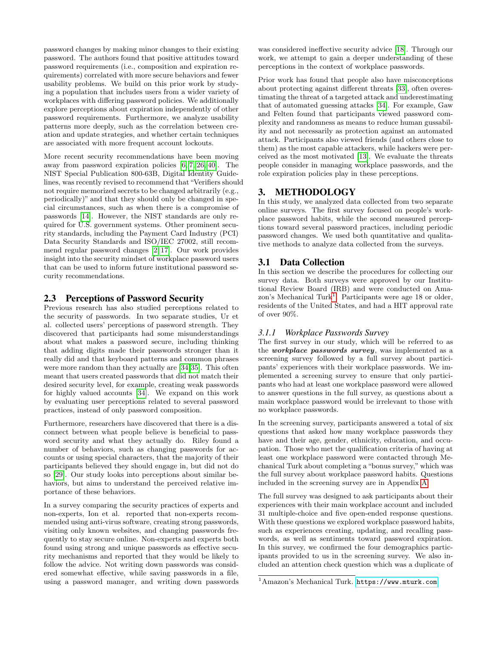password changes by making minor changes to their existing password. The authors found that positive attitudes toward password requirements (i.e., composition and expiration requirements) correlated with more secure behaviors and fewer usability problems. We build on this prior work by studying a population that includes users from a wider variety of workplaces with differing password policies. We additionally explore perceptions about expiration independently of other password requirements. Furthermore, we analyze usability patterns more deeply, such as the correlation between creation and update strategies, and whether certain techniques are associated with more frequent account lockouts.

More recent security recommendations have been moving away from password expiration policies [\[6,](#page-10-12) [7,](#page-10-13) [26,](#page-11-12) [40\]](#page-11-13). The NIST Special Publication 800-63B, Digital Identity Guidelines, was recently revised to recommend that"Verifiers should not require memorized secrets to be changed arbitrarily (e.g., periodically)" and that they should only be changed in special circumstances, such as when there is a compromise of passwords [\[14\]](#page-10-5). However, the NIST standards are only required for U.S. government systems. Other prominent security standards, including the Payment Card Industry (PCI) Data Security Standards and ISO/IEC 27002, still recommend regular password changes [\[2,](#page-10-14) [17\]](#page-10-15). Our work provides insight into the security mindset of workplace password users that can be used to inform future institutional password security recommendations.

#### 2.3 Perceptions of Password Security

Previous research has also studied perceptions related to the security of passwords. In two separate studies, Ur et al. collected users' perceptions of password strength. They discovered that participants had some misunderstandings about what makes a password secure, including thinking that adding digits made their passwords stronger than it really did and that keyboard patterns and common phrases were more random than they actually are [\[34,](#page-11-14)[35\]](#page-11-8). This often meant that users created passwords that did not match their desired security level, for example, creating weak passwords for highly valued accounts [\[34\]](#page-11-14). We expand on this work by evaluating user perceptions related to several password practices, instead of only password composition.

Furthermore, researchers have discovered that there is a disconnect between what people believe is beneficial to password security and what they actually do. Riley found a number of behaviors, such as changing passwords for accounts or using special characters, that the majority of their participants believed they should engage in, but did not do so [\[29\]](#page-11-15). Our study looks into perceptions about similar behaviors, but aims to understand the perceived relative importance of these behaviors.

In a survey comparing the security practices of experts and non-experts, Ion et al. reported that non-experts recommended using anti-virus software, creating strong passwords, visiting only known websites, and changing passwords frequently to stay secure online. Non-experts and experts both found using strong and unique passwords as effective security mechanisms and reported that they would be likely to follow the advice. Not writing down passwords was considered somewhat effective, while saving passwords in a file, using a password manager, and writing down passwords

was considered ineffective security advice [\[18\]](#page-10-8). Through our work, we attempt to gain a deeper understanding of these perceptions in the context of workplace passwords.

Prior work has found that people also have misconceptions about protecting against different threats [\[33\]](#page-11-2), often overestimating the threat of a targeted attack and underestimating that of automated guessing attacks [\[34\]](#page-11-14). For example, Gaw and Felten found that participants viewed password complexity and randomness as means to reduce human gussability and not necessarily as protection against an automated attack. Participants also viewed friends (and others close to them) as the most capable attackers, while hackers were perceived as the most motivated [\[13\]](#page-10-7). We evaluate the threats people consider in managing workplace passwords, and the role expiration policies play in these perceptions.

## 3. METHODOLOGY

In this study, we analyzed data collected from two separate online surveys. The first survey focused on people's workplace password habits, while the second measured perceptions toward several password practices, including periodic password changes. We used both quantitative and qualitative methods to analyze data collected from the surveys.

## 3.1 Data Collection

In this section we describe the procedures for collecting our survey data. Both surveys were approved by our Institutional Review Board (IRB) and were conducted on Ama-zon's Mechanical Turk<sup>[1](#page-2-0)</sup>. Participants were age 18 or older, residents of the United States, and had a HIT approval rate of over 90%.

#### *3.1.1 Workplace Passwords Survey*

The first survey in our study, which will be referred to as the workplace passwords survey, was implemented as a screening survey followed by a full survey about participants' experiences with their workplace passwords. We implemented a screening survey to ensure that only participants who had at least one workplace password were allowed to answer questions in the full survey, as questions about a main workplace password would be irrelevant to those with no workplace passwords.

In the screening survey, participants answered a total of six questions that asked how many workplace passwords they have and their age, gender, ethnicity, education, and occupation. Those who met the qualification criteria of having at least one workplace password were contacted through Mechanical Turk about completing a "bonus survey," which was the full survey about workplace password habits. Questions included in the screening survey are in Appendix [A.](#page-11-16)

The full survey was designed to ask participants about their experiences with their main workplace account and included 31 multiple-choice and five open-ended response questions. With these questions we explored workplace password habits, such as experiences creating, updating, and recalling passwords, as well as sentiments toward password expiration. In this survey, we confirmed the four demographics participants provided to us in the screening survey. We also included an attention check question which was a duplicate of

<span id="page-2-0"></span><sup>1</sup>Amazon's Mechanical Turk. <https://www.mturk.com>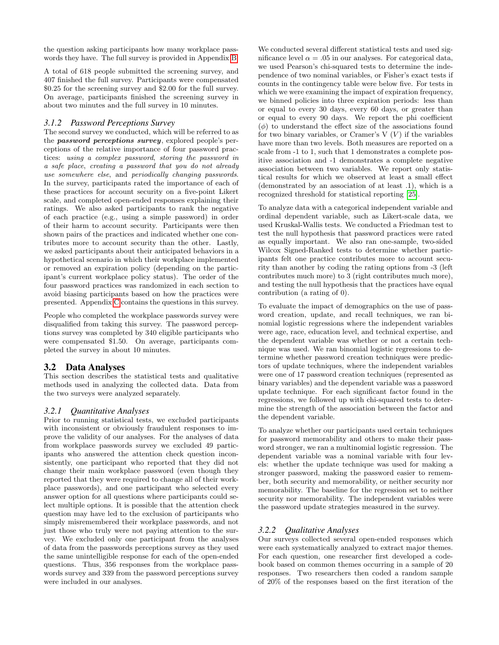the question asking participants how many workplace passwords they have. The full survey is provided in Appendix [B.](#page-12-0)

A total of 618 people submitted the screening survey, and 407 finished the full survey. Participants were compensated \$0.25 for the screening survey and \$2.00 for the full survey. On average, participants finished the screening survey in about two minutes and the full survey in 10 minutes.

#### *3.1.2 Password Perceptions Survey*

The second survey we conducted, which will be referred to as the *password perceptions survey*, explored people's perceptions of the relative importance of four password practices: using a complex password, storing the password in a safe place, creating a password that you do not already use somewhere else, and periodically changing passwords. In the survey, participants rated the importance of each of these practices for account security on a five-point Likert scale, and completed open-ended responses explaining their ratings. We also asked participants to rank the negative of each practice (e.g., using a simple password) in order of their harm to account security. Participants were then shown pairs of the practices and indicated whether one contributes more to account security than the other. Lastly, we asked participants about their anticipated behaviors in a hypothetical scenario in which their workplace implemented or removed an expiration policy (depending on the participant's current workplace policy status). The order of the four password practices was randomized in each section to avoid biasing participants based on how the practices were presented. Appendix [C](#page-15-0) contains the questions in this survey.

People who completed the workplace passwords survey were disqualified from taking this survey. The password perceptions survey was completed by 340 eligible participants who were compensated \$1.50. On average, participants completed the survey in about 10 minutes.

## 3.2 Data Analyses

This section describes the statistical tests and qualitative methods used in analyzing the collected data. Data from the two surveys were analyzed separately.

#### *3.2.1 Quantitative Analyses*

Prior to running statistical tests, we excluded participants with inconsistent or obviously fraudulent responses to improve the validity of our analyses. For the analyses of data from workplace passwords survey we excluded 49 participants who answered the attention check question inconsistently, one participant who reported that they did not change their main workplace password (even though they reported that they were required to change all of their workplace passwords), and one participant who selected every answer option for all questions where participants could select multiple options. It is possible that the attention check question may have led to the exclusion of participants who simply misremembered their workplace passwords, and not just those who truly were not paying attention to the survey. We excluded only one participant from the analyses of data from the passwords perceptions survey as they used the same unintelligible response for each of the open-ended questions. Thus, 356 responses from the workplace passwords survey and 339 from the password perceptions survey were included in our analyses.

We conducted several different statistical tests and used significance level  $\alpha = .05$  in our analyses. For categorical data, we used Pearson's chi-squared tests to determine the independence of two nominal variables, or Fisher's exact tests if counts in the contingency table were below five. For tests in which we were examining the impact of expiration frequency, we binned policies into three expiration periods: less than or equal to every 30 days, every 60 days, or greater than or equal to every 90 days. We report the phi coefficient  $(\phi)$  to understand the effect size of the associations found for two binary variables, or Cramer's  $V(V)$  if the variables have more than two levels. Both measures are reported on a scale from -1 to 1, such that 1 demonstrates a complete positive association and -1 demonstrates a complete negative association between two variables. We report only statistical results for which we observed at least a small effect (demonstrated by an association of at least .1), which is a recognized threshold for statistical reporting [\[25\]](#page-11-17).

To analyze data with a categorical independent variable and ordinal dependent variable, such as Likert-scale data, we used Kruskal-Wallis tests. We conducted a Friedman test to test the null hypothesis that password practices were rated as equally important. We also ran one-sample, two-sided Wilcox Signed-Ranked tests to determine whether participants felt one practice contributes more to account security than another by coding the rating options from -3 (left contributes much more) to 3 (right contributes much more), and testing the null hypothesis that the practices have equal contribution (a rating of 0).

To evaluate the impact of demographics on the use of password creation, update, and recall techniques, we ran binomial logistic regressions where the independent variables were age, race, education level, and technical expertise, and the dependent variable was whether or not a certain technique was used. We ran binomial logistic regressions to determine whether password creation techniques were predictors of update techniques, where the independent variables were one of 17 password creation techniques (represented as binary variables) and the dependent variable was a password update technique. For each significant factor found in the regressions, we followed up with chi-squared tests to determine the strength of the association between the factor and the dependent variable.

To analyze whether our participants used certain techniques for password memorability and others to make their password stronger, we ran a multinomial logistic regression. The dependent variable was a nominal variable with four levels: whether the update technique was used for making a stronger password, making the password easier to remember, both security and memorability, or neither security nor memorability. The baseline for the regression set to neither security nor memorability. The independent variables were the password update strategies measured in the survey.

#### *3.2.2 Qualitative Analyses*

Our surveys collected several open-ended responses which were each systematically analyzed to extract major themes. For each question, one researcher first developed a codebook based on common themes occurring in a sample of 20 responses. Two researchers then coded a random sample of 20% of the responses based on the first iteration of the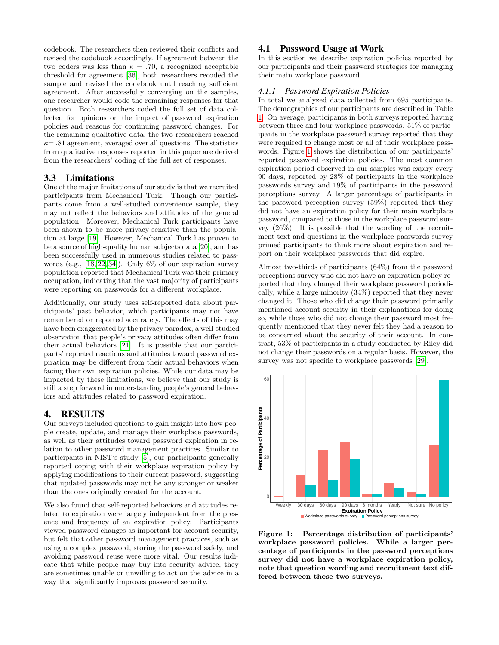codebook. The researchers then reviewed their conflicts and revised the codebook accordingly. If agreement between the two coders was less than  $\kappa = .70$ , a recognized acceptable threshold for agreement [\[36\]](#page-11-18), both researchers recoded the sample and revised the codebook until reaching sufficient agreement. After successfully converging on the samples, one researcher would code the remaining responses for that question. Both researchers coded the full set of data collected for opinions on the impact of password expiration policies and reasons for continuing password changes. For the remaining qualitative data, the two researchers reached  $\kappa$  = .81 agreement, averaged over all questions. The statistics from qualitative responses reported in this paper are derived from the researchers' coding of the full set of responses.

### 3.3 Limitations

One of the major limitations of our study is that we recruited participants from Mechanical Turk. Though our participants come from a well-studied convenience sample, they may not reflect the behaviors and attitudes of the general population. Moreover, Mechanical Turk participants have been shown to be more privacy-sensitive than the population at large [\[19\]](#page-10-16). However, Mechanical Turk has proven to be a source of high-quality human subjects data [\[20\]](#page-10-17), and has been successfully used in numerous studies related to passwords (e.g., [\[18,](#page-10-8) [22,](#page-11-3) [34\]](#page-11-14)). Only 6% of our expiration survey population reported that Mechanical Turk was their primary occupation, indicating that the vast majority of participants were reporting on passwords for a different workplace.

Additionally, our study uses self-reported data about participants' past behavior, which participants may not have remembered or reported accurately. The effects of this may have been exaggerated by the privacy paradox, a well-studied observation that people's privacy attitudes often differ from their actual behaviors [\[21\]](#page-11-19). It is possible that our participants' reported reactions and attitudes toward password expiration may be different from their actual behaviors when facing their own expiration policies. While our data may be impacted by these limitations, we believe that our study is still a step forward in understanding people's general behaviors and attitudes related to password expiration.

#### 4. RESULTS

Our surveys included questions to gain insight into how people create, update, and manage their workplace passwords, as well as their attitudes toward password expiration in relation to other password management practices. Similar to participants in NIST's study [\[5\]](#page-10-4), our participants generally reported coping with their workplace expiration policy by applying modifications to their current password, suggesting that updated passwords may not be any stronger or weaker than the ones originally created for the account.

We also found that self-reported behaviors and attitudes related to expiration were largely independent from the presence and frequency of an expiration policy. Participants viewed password changes as important for account security, but felt that other password management practices, such as using a complex password, storing the password safely, and avoiding password reuse were more vital. Our results indicate that while people may buy into security advice, they are sometimes unable or unwilling to act on the advice in a way that significantly improves password security.

### 4.1 Password Usage at Work

In this section we describe expiration policies reported by our participants and their password strategies for managing their main workplace password.

#### *4.1.1 Password Expiration Policies*

In total we analyzed data collected from 695 participants. The demographics of our participants are described in Table [1.](#page-5-0) On average, participants in both surveys reported having between three and four workplace passwords. 51% of participants in the workplace password survey reported that they were required to change most or all of their workplace passwords. Figure [1](#page-4-0) shows the distribution of our participants' reported password expiration policies. The most common expiration period observed in our samples was expiry every 90 days, reported by 28% of participants in the workplace passwords survey and 19% of participants in the password perceptions survey. A larger percentage of participants in the password perception survey (59%) reported that they did not have an expiration policy for their main workplace password, compared to those in the workplace password survey (26%). It is possible that the wording of the recruitment text and questions in the workplace passwords survey primed participants to think more about expiration and report on their workplace passwords that did expire.

Almost two-thirds of participants (64%) from the password perceptions survey who did not have an expiration policy reported that they changed their workplace password periodically, while a large minority (34%) reported that they never changed it. Those who did change their password primarily mentioned account security in their explanations for doing so, while those who did not change their password most frequently mentioned that they never felt they had a reason to be concerned about the security of their account. In contrast, 53% of participants in a study conducted by Riley did not change their passwords on a regular basis. However, the survey was not specific to workplace passwords [\[29\]](#page-11-15).



<span id="page-4-0"></span>Figure 1: Percentage distribution of participants' workplace password policies. While a larger percentage of participants in the password perceptions survey did not have a workplace expiration policy, note that question wording and recruitment text differed between these two surveys.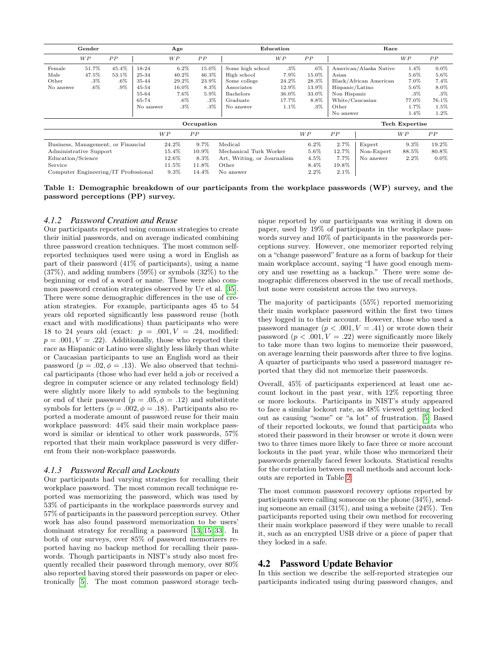| Gender                               |        |        |           | Age     |             | Education                   |         |                | Race            |                        |                |         |  |  |
|--------------------------------------|--------|--------|-----------|---------|-------------|-----------------------------|---------|----------------|-----------------|------------------------|----------------|---------|--|--|
|                                      | WP     | PP     |           | WP      | ${\cal PP}$ |                             | WP      | ${\cal PP}$    |                 |                        | <b>WP</b>      | PP      |  |  |
| Female                               | 51.7%  | 45.4%  | 18-24     | $6.2\%$ | 15.0%       | Some high school            | $.3\%$  | $.6\%$         |                 | American/Alaska Native | $1.4\%$        | $0.0\%$ |  |  |
| Male                                 | 47.5%  | 53.1%  | 25-34     | 40.2%   | 46.3%       | High school                 | $7.9\%$ | 15.0%          | Asian           |                        | 5.6%           | 5.6%    |  |  |
| Other                                | .3%    | $.6\%$ | 35-44     | 29.2%   | 23.9%       | Some college                | 24.2%   | 28.3%          |                 | Black/African American |                | 7.4%    |  |  |
| No answer                            | $.6\%$ | $.9\%$ | $45 - 54$ | 16.0%   | 8.3%        | Associates                  | 12.9%   | 13.9%          | Hispanic/Latino |                        | 5.6%           | 8.0%    |  |  |
|                                      |        |        | 55-64     | $7.6\%$ | $5.9\%$     | Bachelors                   | 36.0%   | 33.0%          | Non Hispanic    |                        | $.3\%$         | $.3\%$  |  |  |
|                                      |        |        | 65-74     | $.6\%$  | $.3\%$      | Graduate                    | 17.7%   | 8.8%           | White/Caucasian |                        | 77.0%          | 76.1%   |  |  |
|                                      |        |        | No answer | $.3\%$  | $.3\%$      | No answer                   | 1.1%    | $.3\%$         | Other           |                        | 1.7%           | 1.5%    |  |  |
|                                      |        |        |           |         |             |                             |         |                | No answer       |                        | $1.4\%$        | 1.2%    |  |  |
|                                      |        |        |           |         | Occupation  |                             |         |                |                 |                        | Tech Expertise |         |  |  |
|                                      |        |        |           | W P     | PP          |                             |         | W <sub>P</sub> | PP              |                        | W P            | PP      |  |  |
| Business, Management, or Financial   |        |        | 24.2%     | 9.7%    | Medical     |                             | $6.2\%$ | 2.7%           | Expert          | 9.3%                   | 19.2%          |         |  |  |
| Administrative Support               |        |        |           | 15.4%   | 10.9%       | Mechanical Turk Worker      |         | $5.6\%$        | 12.7%           | Non-Expert             | 88.5%          | 80.8%   |  |  |
| Education/Science                    |        |        |           | 12.6%   | 8.3%        | Art, Writing, or Journalism |         | $4.5\%$        | 7.7%            | No answer              | $2.2\%$        | $0.0\%$ |  |  |
| Service                              |        |        |           | 11.5%   | 11.8%       | Other                       |         | 8.4%           | 19.8%           |                        |                |         |  |  |
| Computer Engineering/IT Professional |        |        |           | 9.3%    | 14.4%       | No answer                   |         | $2.2\%$        | 2.1%            |                        |                |         |  |  |

<span id="page-5-0"></span>Table 1: Demographic breakdown of our participants from the workplace passwords (WP) survey, and the password perceptions (PP) survey.

#### *4.1.2 Password Creation and Reuse*

Our participants reported using common strategies to create their initial passwords, and on average indicated combining three password creation techniques. The most common selfreported techniques used were using a word in English as part of their password (41% of participants), using a name  $(37\%)$ , and adding numbers  $(59\%)$  or symbols  $(32\%)$  to the beginning or end of a word or name. These were also common password creation strategies observed by Ur et al. [\[35\]](#page-11-8). There were some demographic differences in the use of creation strategies. For example, participants ages 45 to 54 years old reported significantly less password reuse (both exact and with modifications) than participants who were 18 to 24 years old (exact:  $p = .001, V = .24$ , modified:  $p = .001, V = .22$ . Additionally, those who reported their race as Hispanic or Latino were slightly less likely than white or Caucasian participants to use an English word as their password ( $p = .02, \phi = .13$ ). We also observed that technical participants (those who had ever held a job or received a degree in computer science or any related technology field) were slightly more likely to add symbols to the beginning or end of their password ( $p = .05, \phi = .12$ ) and substitute symbols for letters ( $p = .002$ ,  $\phi = .18$ ). Participants also reported a moderate amount of password reuse for their main workplace password: 44% said their main workplace password is similar or identical to other work passwords, 57% reported that their main workplace password is very different from their non-workplace passwords.

#### *4.1.3 Password Recall and Lockouts*

Our participants had varying strategies for recalling their workplace password. The most common recall technique reported was memorizing the password, which was used by 53% of participants in the workplace passwords survey and 57% of participants in the password perception survey. Other work has also found password memorization to be users' dominant strategy for recalling a password [\[13,](#page-10-7) [15,](#page-10-6) [33\]](#page-11-2). In both of our surveys, over 85% of password memorizers reported having no backup method for recalling their passwords. Though participants in NIST's study also most frequently recalled their password through memory, over 80% also reported having stored their passwords on paper or electronically [\[5\]](#page-10-4). The most common password storage technique reported by our participants was writing it down on paper, used by 19% of participants in the workplace passwords survey and 10% of participants in the passwords perceptions survey. However, one memorizer reported relying on a "change password" feature as a form of backup for their main workplace account, saying "I have good enough memory and use resetting as a backup." There were some demographic differences observed in the use of recall methods, but none were consistent across the two surveys.

The majority of participants (55%) reported memorizing their main workplace password within the first two times they logged in to their account. However, those who used a password manager  $(p < .001, V = .41)$  or wrote down their password  $(p < .001, V = .22)$  were significantly more likely to take more than two logins to memorize their password, on average learning their passwords after three to five logins. A quarter of participants who used a password manager reported that they did not memorize their passwords.

Overall, 45% of participants experienced at least one account lockout in the past year, with 12% reporting three or more lockouts. Participants in NIST's study appeared to face a similar lockout rate, as 48% viewed getting locked out as causing "some" or "a lot" of frustration. [\[5\]](#page-10-4) Based of their reported lockouts, we found that participants who stored their password in their browser or wrote it down were two to three times more likely to face three or more account lockouts in the past year, while those who memorized their passwords generally faced fewer lockouts. Statistical results for the correlation between recall methods and account lockouts are reported in Table [2.](#page-6-0)

The most common password recovery options reported by participants were calling someone on the phone (34%), sending someone an email (31%), and using a website (24%). Ten participants reported using their own method for recovering their main workplace password if they were unable to recall it, such as an encrypted USB drive or a piece of paper that they locked in a safe.

#### 4.2 Password Update Behavior

In this section we describe the self-reported strategies our participants indicated using during password changes, and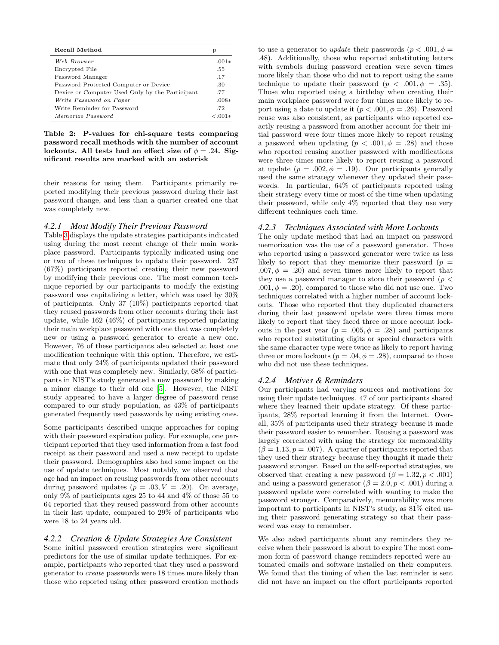| Recall Method                                   | р        |
|-------------------------------------------------|----------|
| Web Browser                                     | $.001*$  |
| Encrypted File                                  | .55      |
| Password Manager                                | .17      |
| Password Protected Computer or Device           | .30      |
| Device or Computer Used Only by the Participant | .77      |
| Write Password on Paper                         | $.008*$  |
| Write Reminder for Password                     | -72      |
| Memorize Password                               | $-.001*$ |

<span id="page-6-0"></span>Table 2: P-values for chi-square tests comparing password recall methods with the number of account lockouts. All tests had an effect size of  $\phi = .24$ . Significant results are marked with an asterisk

their reasons for using them. Participants primarily reported modifying their previous password during their last password change, and less than a quarter created one that was completely new.

#### *4.2.1 Most Modify Their Previous Password*

Table [3](#page-7-0) displays the update strategies participants indicated using during the most recent change of their main workplace password. Participants typically indicated using one or two of these techniques to update their password. 237 (67%) participants reported creating their new password by modifying their previous one. The most common technique reported by our participants to modify the existing password was capitalizing a letter, which was used by 30% of participants. Only 37 (10%) participants reported that they reused passwords from other accounts during their last update, while 162 (46%) of participants reported updating their main workplace password with one that was completely new or using a password generator to create a new one. However, 76 of these participants also selected at least one modification technique with this option. Therefore, we estimate that only 24% of participants updated their password with one that was completely new. Similarly, 68% of participants in NIST's study generated a new password by making a minor change to their old one [\[5\]](#page-10-4). However, the NIST study appeared to have a larger degree of password reuse compared to our study population, as 43% of participants generated frequently used passwords by using existing ones.

Some participants described unique approaches for coping with their password expiration policy. For example, one participant reported that they used information from a fast food receipt as their password and used a new receipt to update their password. Demographics also had some impact on the use of update techniques. Most notably, we observed that age had an impact on reusing passwords from other accounts during password updates  $(p = .03, V = .20)$ . On average, only 9% of participants ages 25 to 44 and 4% of those 55 to 64 reported that they reused password from other accounts in their last update, compared to 29% of participants who were 18 to 24 years old.

#### *4.2.2 Creation & Update Strategies Are Consistent*

Some initial password creation strategies were significant predictors for the use of similar update techniques. For example, participants who reported that they used a password generator to create passwords were 18 times more likely than those who reported using other password creation methods to use a generator to *update* their passwords ( $p < .001, \phi =$ .48). Additionally, those who reported substituting letters with symbols during password creation were seven times more likely than those who did not to report using the same technique to update their password ( $p < .001, \phi = .35$ ). Those who reported using a birthday when creating their main workplace password were four times more likely to report using a date to update it  $(p < .001, \phi = .26)$ . Password reuse was also consistent, as participants who reported exactly reusing a password from another account for their initial password were four times more likely to report reusing a password when updating  $(p < .001, \phi = .28)$  and those who reported reusing another password with modifications were three times more likely to report reusing a password at update  $(p = .002, \phi = .19)$ . Our participants generally used the same strategy whenever they updated their passwords. In particular, 64% of participants reported using their strategy every time or most of the time when updating their password, while only 4% reported that they use very different techniques each time.

#### *4.2.3 Techniques Associated with More Lockouts*

The only update method that had an impact on password memorization was the use of a password generator. Those who reported using a password generator were twice as less likely to report that they memorize their password ( $p =$  $.007, \phi = .20$  and seven times more likely to report that they use a password manager to store their password ( $p <$ .001,  $\phi = .20$ , compared to those who did not use one. Two techniques correlated with a higher number of account lockouts. Those who reported that they duplicated characters during their last password update were three times more likely to report that they faced three or more account lockouts in the past year  $(p = .005, \phi = .28)$  and participants who reported substituting digits or special characters with the same character type were twice as likely to report having three or more lockouts ( $p = .04, \phi = .28$ ), compared to those who did not use these techniques.

#### *4.2.4 Motives & Reminders*

Our participants had varying sources and motivations for using their update techniques. 47 of our participants shared where they learned their update strategy. Of these participants, 28% reported learning it from the Internet. Overall, 35% of participants used their strategy because it made their password easier to remember. Reusing a password was largely correlated with using the strategy for memorability  $(\beta = 1.13, p = .007)$ . A quarter of participants reported that they used their strategy because they thought it made their password stronger. Based on the self-reported strategies, we observed that creating a new password  $(\beta = 1.32, p < .001)$ and using a password generator ( $\beta = 2.0, p < .001$ ) during a password update were correlated with wanting to make the password stronger. Comparatively, memorability was more important to participants in NIST's study, as 81% cited using their password generating strategy so that their password was easy to remember.

We also asked participants about any reminders they receive when their password is about to expire The most common form of password change reminders reported were automated emails and software installed on their computers. We found that the timing of when the last reminder is sent did not have an impact on the effort participants reported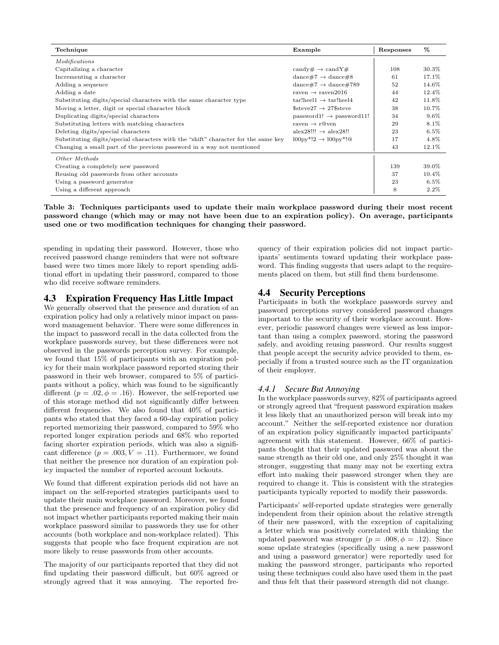| Technique                                                                          | Example                                           | Responses | %       |
|------------------------------------------------------------------------------------|---------------------------------------------------|-----------|---------|
| Modifications                                                                      |                                                   |           |         |
| Capitalizing a character                                                           | candy# $\rightarrow$ candY#                       | 108       | 30.3%   |
| Incrementing a character                                                           | dance#7 $\rightarrow$ dance#8                     | 61        | 17.1%   |
| Adding a sequence                                                                  | dance#7 $\rightarrow$ dance#789                   | 52        | 14.6%   |
| Adding a date                                                                      | raven $\rightarrow$ raven 2016                    | 44        | 12.4%   |
| Substituting digits/special characters with the same character type                | $tar!heel1 \rightarrow tar!heel4$                 | 42        | 11.8%   |
| Moving a letter, digit or special character block                                  | $$ \text{steve27} \rightarrow 27$ \text{steve}$   | 38        | 10.7%   |
| Duplicating digits/special characters                                              | $password1! \rightarrow password11!$              | 34        | $9.6\%$ |
| Substituting letters with matching characters                                      | raven $\rightarrow$ r@ven                         | 29        | 8.1%    |
| Deleting digits/special characters                                                 | $alex28!!! \rightarrow alex28!!$                  | 23        | $6.5\%$ |
| Substituting digits/special characters with the "shift" character for the same key | $100 \text{pv}^*!2 \rightarrow 100 \text{pv}^*!\$ | 17        | 4.8%    |
| Changing a small part of the previous password in a way not mentioned              |                                                   | 43        | 12.1%   |
| Other Methods                                                                      |                                                   |           |         |
| Creating a completely new password                                                 |                                                   | 139       | 39.0%   |
| Reusing old passwords from other accounts                                          |                                                   | 37        | 10.4%   |
| Using a password generator                                                         |                                                   | 23        | $6.5\%$ |
| Using a different approach                                                         |                                                   | 8         | $2.2\%$ |

<span id="page-7-0"></span>Table 3: Techniques participants used to update their main workplace password during their most recent password change (which may or may not have been due to an expiration policy). On average, participants used one or two modification techniques for changing their password.

spending in updating their password. However, those who received password change reminders that were not software based were two times more likely to report spending additional effort in updating their password, compared to those who did receive software reminders.

#### 4.3 Expiration Frequency Has Little Impact

We generally observed that the presence and duration of an expiration policy had only a relatively minor impact on password management behavior. There were some differences in the impact to password recall in the data collected from the workplace passwords survey, but these differences were not observed in the passwords perception survey. For example, we found that 15% of participants with an expiration policy for their main workplace password reported storing their password in their web browser, compared to 5% of participants without a policy, which was found to be significantly different ( $p = .02, \phi = .16$ ). However, the self-reported use of this storage method did not significantly differ between different frequencies. We also found that 40% of participants who stated that they faced a 60-day expiration policy reported memorizing their password, compared to 59% who reported longer expiration periods and 68% who reported facing shorter expiration periods, which was also a significant difference  $(p = .003, V = .11)$ . Furthermore, we found that neither the presence nor duration of an expiration policy impacted the number of reported account lockouts.

We found that different expiration periods did not have an impact on the self-reported strategies participants used to update their main workplace password. Moreover, we found that the presence and frequency of an expiration policy did not impact whether participants reported making their main workplace password similar to passwords they use for other accounts (both workplace and non-workplace related). This suggests that people who face frequent expiration are not more likely to reuse passwords from other accounts.

The majority of our participants reported that they did not find updating their password difficult, but 60% agreed or strongly agreed that it was annoying. The reported fre-

quency of their expiration policies did not impact participants' sentiments toward updating their workplace password. This finding suggests that users adapt to the requirements placed on them, but still find them burdensome.

## 4.4 Security Perceptions

Participants in both the workplace passwords survey and password perceptions survey considered password changes important to the security of their workplace account. However, periodic password changes were viewed as less important than using a complex password, storing the password safely, and avoiding reusing password. Our results suggest that people accept the security advice provided to them, especially if from a trusted source such as the IT organization of their employer.

#### *4.4.1 Secure But Annoying*

In the workplace passwords survey, 82% of participants agreed or strongly agreed that "frequent password expiration makes it less likely that an unauthorized person will break into my account." Neither the self-reported existence nor duration of an expiration policy significantly impacted participants' agreement with this statement. However, 66% of participants thought that their updated password was about the same strength as their old one, and only 25% thought it was stronger, suggesting that many may not be exerting extra effort into making their password stronger when they are required to change it. This is consistent with the strategies participants typically reported to modify their passwords.

Participants' self-reported update strategies were generally independent from their opinion about the relative strength of their new password, with the exception of capitalizing a letter which was positively correlated with thinking the updated password was stronger  $(p = .008, \phi = .12)$ . Since some update strategies (specifically using a new password and using a password generator) were reportedly used for making the password stronger, participants who reported using these techniques could also have used them in the past and thus felt that their password strength did not change.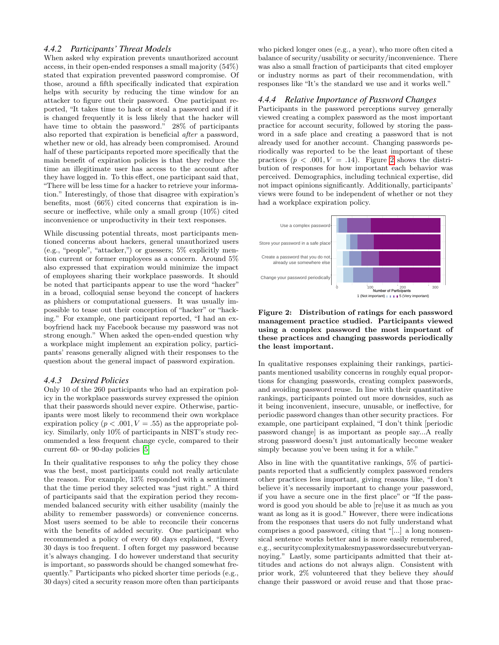#### *4.4.2 Participants' Threat Models*

When asked why expiration prevents unauthorized account access, in their open-ended responses a small majority (54%) stated that expiration prevented password compromise. Of those, around a fifth specifically indicated that expiration helps with security by reducing the time window for an attacker to figure out their password. One participant reported, "It takes time to hack or steal a password and if it is changed frequently it is less likely that the hacker will have time to obtain the password." 28% of participants also reported that expiration is beneficial after a password, whether new or old, has already been compromised. Around half of these participants reported more specifically that the main benefit of expiration policies is that they reduce the time an illegitimate user has access to the account after they have logged in. To this effect, one participant said that, "There will be less time for a hacker to retrieve your information." Interestingly, of those that disagree with expiration's benefits, most (66%) cited concerns that expiration is insecure or ineffective, while only a small group (10%) cited inconvenience or unproductivity in their text responses.

While discussing potential threats, most participants mentioned concerns about hackers, general unauthorized users (e.g., "people", "attacker,") or guessers; 5% explicitly mention current or former employees as a concern. Around 5% also expressed that expiration would minimize the impact of employees sharing their workplace passwords. It should be noted that participants appear to use the word "hacker" in a broad, colloquial sense beyond the concept of hackers as phishers or computational guessers. It was usually impossible to tease out their conception of "hacker" or "hacking." For example, one participant reported, "I had an exboyfriend hack my Facebook because my password was not strong enough." When asked the open-ended question why a workplace might implement an expiration policy, participants' reasons generally aligned with their responses to the question about the general impact of password expiration.

#### *4.4.3 Desired Policies*

Only 10 of the 260 participants who had an expiration policy in the workplace passwords survey expressed the opinion that their passwords should never expire. Otherwise, participants were most likely to recommend their own workplace expiration policy ( $p < .001, V = .55$ ) as the appropriate policy. Similarly, only 10% of participants in NIST's study recommended a less frequent change cycle, compared to their current 60- or 90-day policies [\[5\]](#page-10-4)

In their qualitative responses to *why* the policy they chose was the best, most participants could not really articulate the reason. For example, 13% responded with a sentiment that the time period they selected was "just right." A third of participants said that the expiration period they recommended balanced security with either usability (mainly the ability to remember passwords) or convenience concerns. Most users seemed to be able to reconcile their concerns with the benefits of added security. One participant who recommended a policy of every 60 days explained, "Every 30 days is too frequent. I often forget my password because it's always changing. I do however understand that security is important, so passwords should be changed somewhat frequently." Participants who picked shorter time periods (e.g., 30 days) cited a security reason more often than participants who picked longer ones (e.g., a year), who more often cited a balance of security/usability or security/inconvenience. There was also a small fraction of participants that cited employer or industry norms as part of their recommendation, with responses like "It's the standard we use and it works well."

#### *4.4.4 Relative Importance of Password Changes*

Participants in the password perceptions survey generally viewed creating a complex password as the most important practice for account security, followed by storing the password in a safe place and creating a password that is not already used for another account. Changing passwords periodically was reported to be the least important of these practices  $(p < .001, V = .14)$ . Figure [2](#page-8-0) shows the distribution of responses for how important each behavior was perceived. Demographics, including technical expertise, did not impact opinions significantly. Additionally, participants' views were found to be independent of whether or not they had a workplace expiration policy.



<span id="page-8-0"></span>Figure 2: Distribution of ratings for each password management practice studied. Participants viewed using a complex password the most important of these practices and changing passwords periodically the least important.

In qualitative responses explaining their rankings, participants mentioned usability concerns in roughly equal proportions for changing passwords, creating complex passwords, and avoiding password reuse. In line with their quantitative rankings, participants pointed out more downsides, such as it being inconvenient, insecure, unusable, or ineffective, for periodic password changes than other security practices. For example, one participant explained, "I don't think [periodic password change] is as important as people say...A really strong password doesn't just automatically become weaker simply because you've been using it for a while."

Also in line with the quantitative rankings, 5% of participants reported that a sufficiently complex password renders other practices less important, giving reasons like, "I don't believe it's necessarily important to change your password, if you have a secure one in the first place" or "If the password is good you should be able to [re]use it as much as you want as long as it is good." However, there were indications from the responses that users do not fully understand what comprises a good password, citing that "[...] a long nonsensical sentence works better and is more easily remembered, e.g., securitycomplexitymakesmypasswordssecurebutveryannoying." Lastly, some participants admitted that their attitudes and actions do not always align. Consistent with prior work, 2% volunteered that they believe they should change their password or avoid reuse and that those prac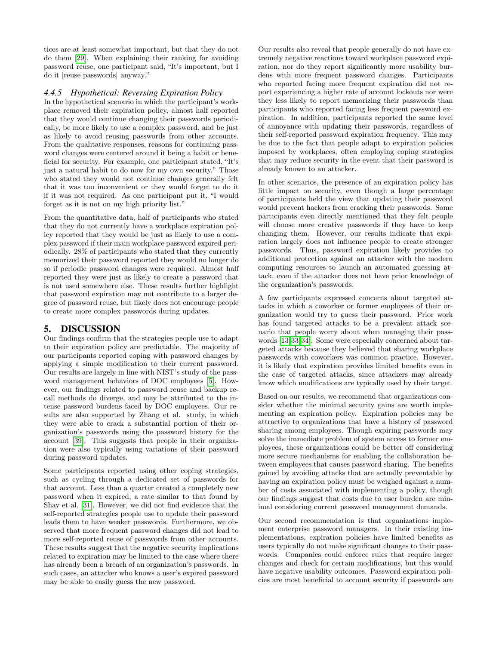tices are at least somewhat important, but that they do not do them [\[29\]](#page-11-15). When explaining their ranking for avoiding password reuse, one participant said, "It's important, but I do it [reuse passwords] anyway."

#### *4.4.5 Hypothetical: Reversing Expiration Policy*

In the hypothetical scenario in which the participant's workplace removed their expiration policy, almost half reported that they would continue changing their passwords periodically, be more likely to use a complex password, and be just as likely to avoid reusing passwords from other accounts. From the qualitative responses, reasons for continuing password changes were centered around it being a habit or beneficial for security. For example, one participant stated, "It's just a natural habit to do now for my own security." Those who stated they would not continue changes generally felt that it was too inconvenient or they would forget to do it if it was not required. As one participant put it, "I would forget as it is not on my high priority list."

From the quantitative data, half of participants who stated that they do not currently have a workplace expiration policy reported that they would be just as likely to use a complex password if their main workplace password expired periodically. 28% of participants who stated that they currently memorized their password reported they would no longer do so if periodic password changes were required. Almost half reported they were just as likely to create a password that is not used somewhere else. These results further highlight that password expiration may not contribute to a larger degree of password reuse, but likely does not encourage people to create more complex passwords during updates.

## 5. DISCUSSION

Our findings confirm that the strategies people use to adapt to their expiration policy are predictable. The majority of our participants reported coping with password changes by applying a simple modification to their current password. Our results are largely in line with NIST's study of the password management behaviors of DOC employees [\[5\]](#page-10-4). However, our findings related to password reuse and backup recall methods do diverge, and may be attributed to the intense password burdens faced by DOC employees. Our results are also supported by Zhang et al. study, in which they were able to crack a substantial portion of their organization's passwords using the password history for the account [\[39\]](#page-11-6). This suggests that people in their organization were also typically using variations of their password during password updates.

Some participants reported using other coping strategies, such as cycling through a dedicated set of passwords for that account. Less than a quarter created a completely new password when it expired, a rate similar to that found by Shay et al. [\[31\]](#page-11-11). However, we did not find evidence that the self-reported strategies people use to update their password leads them to have weaker passwords. Furthermore, we observed that more frequent password changes did not lead to more self-reported reuse of passwords from other accounts. These results suggest that the negative security implications related to expiration may be limited to the case where there has already been a breach of an organization's passwords. In such cases, an attacker who knows a user's expired password may be able to easily guess the new password.

Our results also reveal that people generally do not have extremely negative reactions toward workplace password expiration, nor do they report significantly more usability burdens with more frequent password changes. Participants who reported facing more frequent expiration did not report experiencing a higher rate of account lockouts nor were they less likely to report memorizing their passwords than participants who reported facing less frequent password expiration. In addition, participants reported the same level of annoyance with updating their passwords, regardless of their self-reported password expiration frequency. This may be due to the fact that people adapt to expiration policies imposed by workplaces, often employing coping strategies that may reduce security in the event that their password is already known to an attacker.

In other scenarios, the presence of an expiration policy has little impact on security, even though a large percentage of participants held the view that updating their password would prevent hackers from cracking their passwords. Some participants even directly mentioned that they felt people will choose more creative passwords if they have to keep changing them. However, our results indicate that expiration largely does not influence people to create stronger passwords. Thus, password expiration likely provides no additional protection against an attacker with the modern computing resources to launch an automated guessing attack, even if the attacker does not have prior knowledge of the organization's passwords.

A few participants expressed concerns about targeted attacks in which a coworker or former employees of their organization would try to guess their password. Prior work has found targeted attacks to be a prevalent attack scenario that people worry about when managing their passwords [\[13](#page-10-7)[,33,](#page-11-2)[34\]](#page-11-14). Some were especially concerned about targeted attacks because they believed that sharing workplace passwords with coworkers was common practice. However, it is likely that expiration provides limited benefits even in the case of targeted attacks, since attackers may already know which modifications are typically used by their target.

Based on our results, we recommend that organizations consider whether the minimal security gains are worth implementing an expiration policy. Expiration policies may be attractive to organizations that have a history of password sharing among employees. Though expiring passwords may solve the immediate problem of system access to former employees, these organizations could be better off considering more secure mechanisms for enabling the collaboration between employees that causes password sharing. The benefits gained by avoiding attacks that are actually preventable by having an expiration policy must be weighed against a number of costs associated with implementing a policy, though our findings suggest that costs due to user burden are minimal considering current password management demands.

Our second recommendation is that organizations implement enterprise password managers. In their existing implementations, expiration policies have limited benefits as users typically do not make significant changes to their passwords. Companies could enforce rules that require larger changes and check for certain modifications, but this would have negative usability outcomes. Password expiration policies are most beneficial to account security if passwords are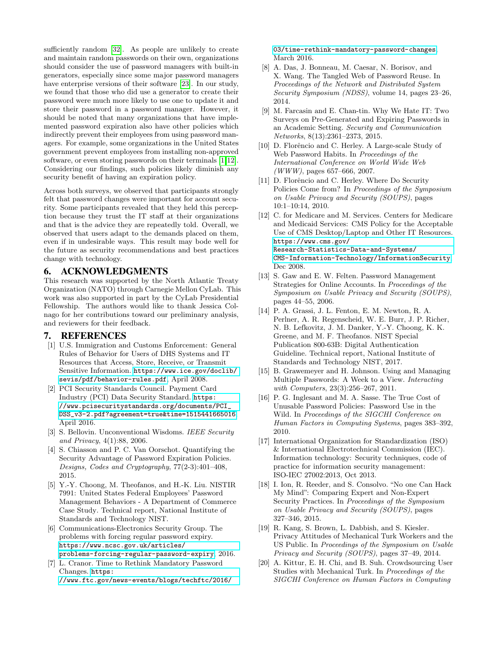sufficiently random [\[32\]](#page-11-5). As people are unlikely to create and maintain random passwords on their own, organizations should consider the use of password managers with built-in generators, especially since some major password managers have enterprise versions of their software [\[23\]](#page-11-20). In our study, we found that those who did use a generator to create their password were much more likely to use one to update it and store their password in a password manager. However, it should be noted that many organizations that have implemented password expiration also have other policies which indirectly prevent their employees from using password managers. For example, some organizations in the United States government prevent employees from installing non-approved software, or even storing passwords on their terminals [\[1,](#page-10-18)[12\]](#page-10-19). Considering our findings, such policies likely diminish any security benefit of having an expiration policy.

Across both surveys, we observed that participants strongly felt that password changes were important for account security. Some participants revealed that they held this perception because they trust the IT staff at their organizations and that is the advice they are repeatedly told. Overall, we observed that users adapt to the demands placed on them, even if in undesirable ways. This result may bode well for the future as security recommendations and best practices change with technology.

## 6. ACKNOWLEDGMENTS

This research was supported by the North Atlantic Treaty Organization (NATO) through Carnegie Mellon CyLab. This work was also supported in part by the CyLab Presidential Fellowship. The authors would like to thank Jessica Colnago for her contributions toward our preliminary analysis, and reviewers for their feedback.

### 7. REFERENCES

- <span id="page-10-18"></span>[1] U.S. Immigration and Customs Enforcement: General Rules of Behavior for Users of DHS Systems and IT Resources that Access, Store, Receive, or Transmit Sensitive Information. [https://www.ice.gov/doclib/](https://www.ice.gov/doclib/sevis/pdf/behavior-rules.pdf) [sevis/pdf/behavior-rules.pdf](https://www.ice.gov/doclib/sevis/pdf/behavior-rules.pdf), April 2008.
- <span id="page-10-14"></span>[2] PCI Security Standards Council. Payment Card Industry (PCI) Data Security Standard. [https:](https://www.pcisecuritystandards.org/documents/PCI_DSS_v3-2.pdf?agreement=true&time=1515441665016) [//www.pcisecuritystandards.org/documents/PCI\\_](https://www.pcisecuritystandards.org/documents/PCI_DSS_v3-2.pdf?agreement=true&time=1515441665016) [DSS\\_v3-2.pdf?agreement=true&time=1515441665016](https://www.pcisecuritystandards.org/documents/PCI_DSS_v3-2.pdf?agreement=true&time=1515441665016), April 2016.
- <span id="page-10-11"></span>[3] S. Bellovin. Unconventional Wisdoms. IEEE Security and Privacy, 4(1):88, 2006.
- <span id="page-10-3"></span>[4] S. Chiasson and P. C. Van Oorschot. Quantifying the Security Advantage of Password Expiration Policies. Designs, Codes and Cryptography, 77(2-3):401–408, 2015.
- <span id="page-10-4"></span>[5] Y.-Y. Choong, M. Theofanos, and H.-K. Liu. NISTIR 7991: United States Federal Employees' Password Management Behaviors - A Department of Commerce Case Study. Technical report, National Institute of Standards and Technology NIST.
- <span id="page-10-12"></span>[6] Communications-Electronics Security Group. The problems with forcing regular password expiry. [https://www.ncsc.gov.uk/articles/](https://www.ncsc.gov.uk/articles/problems-forcing-regular-password-expiry) [problems-forcing-regular-password-expiry](https://www.ncsc.gov.uk/articles/problems-forcing-regular-password-expiry), 2016.
- <span id="page-10-13"></span>[7] L. Cranor. Time to Rethink Mandatory Password Changes. [https:](https://www.ftc.gov/news-events/blogs/techftc/2016/03/time-rethink-mandatory-password-changes)

[//www.ftc.gov/news-events/blogs/techftc/2016/](https://www.ftc.gov/news-events/blogs/techftc/2016/03/time-rethink-mandatory-password-changes)

[03/time-rethink-mandatory-password-changes](https://www.ftc.gov/news-events/blogs/techftc/2016/03/time-rethink-mandatory-password-changes), March 2016.

- <span id="page-10-0"></span>[8] A. Das, J. Bonneau, M. Caesar, N. Borisov, and X. Wang. The Tangled Web of Password Reuse. In Proceedings of the Network and Distributed System Security Symposium (NDSS), volume 14, pages 23–26, 2014.
- <span id="page-10-9"></span>[9] M. Farcasin and E. Chan-tin. Why We Hate IT: Two Surveys on Pre-Generated and Expiring Passwords in an Academic Setting. Security and Communication Networks, 8(13):2361–2373, 2015.
- <span id="page-10-1"></span>[10] D. Florêncio and C. Herley. A Large-scale Study of Web Password Habits. In Proceedings of the International Conference on World Wide Web  $(WWW)$ , pages 657–666, 2007.
- <span id="page-10-2"></span>[11] D. Florêncio and C. Herley. Where Do Security Policies Come from? In Proceedings of the Symposium on Usable Privacy and Security (SOUPS), pages 10:1–10:14, 2010.
- <span id="page-10-19"></span>[12] C. for Medicare and M. Services. Centers for Medicare and Medicaid Services: CMS Policy for the Acceptable Use of CMS Desktop/Laptop and Other IT Resources. [https://www.cms.gov/](https://www.cms.gov/Research-Statistics-Data-and-Systems/CMS-Information-Technology/InformationSecurity) [Research-Statistics-Data-and-Systems/](https://www.cms.gov/Research-Statistics-Data-and-Systems/CMS-Information-Technology/InformationSecurity) [CMS-Information-Technology/InformationSecurity](https://www.cms.gov/Research-Statistics-Data-and-Systems/CMS-Information-Technology/InformationSecurity), Dec 2008.
- <span id="page-10-7"></span>[13] S. Gaw and E. W. Felten. Password Management Strategies for Online Accounts. In Proceedings of the Symposium on Usable Privacy and Security (SOUPS), pages 44–55, 2006.
- <span id="page-10-5"></span>[14] P. A. Grassi, J. L. Fenton, E. M. Newton, R. A. Perlner, A. R. Regenscheid, W. E. Burr, J. P. Richer, N. B. Lefkovitz, J. M. Danker, Y.-Y. Choong, K. K. Greene, and M. F. Theofanos. NIST Special Publication 800-63B: Digital Authentication Guideline. Technical report, National Institute of Standards and Technology NIST, 2017.
- <span id="page-10-6"></span>[15] B. Grawemeyer and H. Johnson. Using and Managing Multiple Passwords: A Week to a View. Interacting with Computers, 23(3):256–267, 2011.
- <span id="page-10-10"></span>[16] P. G. Inglesant and M. A. Sasse. The True Cost of Unusable Password Policies: Password Use in the Wild. In Proceedings of the SIGCHI Conference on Human Factors in Computing Systems, pages 383–392, 2010.
- <span id="page-10-15"></span>[17] International Organization for Standardization (ISO) & International Electrotechnical Commission (IEC). Information technology: Security techniques, code of practice for information security management: ISO-IEC 27002:2013, Oct 2013.
- <span id="page-10-8"></span>[18] I. Ion, R. Reeder, and S. Consolvo. "No one Can Hack My Mind": Comparing Expert and Non-Expert Security Practices. In Proceedings of the Symposium on Usable Privacy and Security (SOUPS), pages 327–346, 2015.
- <span id="page-10-16"></span>[19] R. Kang, S. Brown, L. Dabbish, and S. Kiesler. Privacy Attitudes of Mechanical Turk Workers and the US Public. In Proceedings of the Symposium on Usable Privacy and Security (SOUPS), pages 37–49, 2014.
- <span id="page-10-17"></span>[20] A. Kittur, E. H. Chi, and B. Suh. Crowdsourcing User Studies with Mechanical Turk. In Proceedings of the SIGCHI Conference on Human Factors in Computing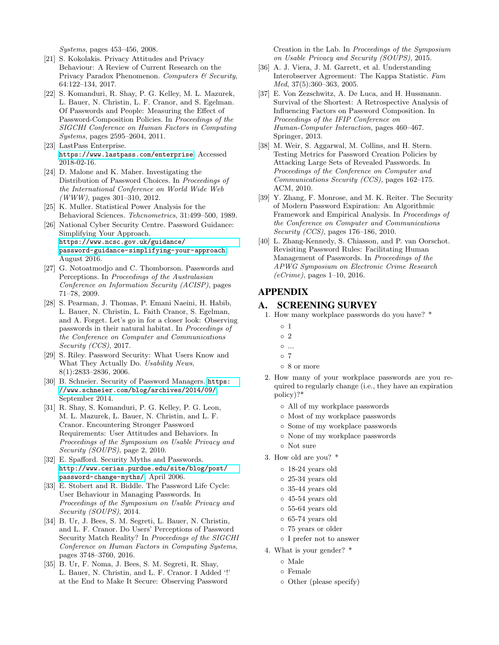Systems, pages 453–456, 2008.

- <span id="page-11-19"></span>[21] S. Kokolakis. Privacy Attitudes and Privacy Behaviour: A Review of Current Research on the Privacy Paradox Phenomenon. Computers & Security, 64:122–134, 2017.
- <span id="page-11-3"></span>[22] S. Komanduri, R. Shay, P. G. Kelley, M. L. Mazurek, L. Bauer, N. Christin, L. F. Cranor, and S. Egelman. Of Passwords and People: Measuring the Effect of Password-Composition Policies. In Proceedings of the SIGCHI Conference on Human Factors in Computing Systems, pages 2595–2604, 2011.
- <span id="page-11-20"></span>[23] LastPass Enterprise. <https://www.lastpass.com/enterprise>. Accessed 2018-02-16.
- <span id="page-11-0"></span>[24] D. Malone and K. Maher. Investigating the Distribution of Password Choices. In Proceedings of the International Conference on World Wide Web (WWW), pages 301–310, 2012.
- <span id="page-11-17"></span>[25] K. Muller. Statistical Power Analysis for the Behavioral Sciences. Tehcnometrics, 31:499–500, 1989. [26] National Cyber Security Centre. Password Guidance:
- <span id="page-11-12"></span>Simplifying Your Approach. [https://www.ncsc.gov.uk/guidance/](https://www.ncsc.gov.uk/guidance/password-guidance-simplifying-your-approach) [password-guidance-simplifying-your-approach](https://www.ncsc.gov.uk/guidance/password-guidance-simplifying-your-approach), August 2016.
- <span id="page-11-9"></span>[27] G. Notoatmodjo and C. Thomborson. Passwords and Perceptions. In Proceedings of the Australasian Conference on Information Security (ACISP), pages 71–78, 2009.
- <span id="page-11-7"></span>[28] S. Pearman, J. Thomas, P. Emani Naeini, H. Habib, L. Bauer, N. Christin, L. Faith Cranor, S. Egelman, and A. Forget. Let's go in for a closer look: Observing passwords in their natural habitat. In Proceedings of the Conference on Computer and Communications Security (CCS), 2017.
- <span id="page-11-15"></span>[29] S. Riley. Password Security: What Users Know and What They Actually Do. Usability News, 8(1):2833–2836, 2006.
- <span id="page-11-10"></span>[30] B. Schneier. Security of Password Managers. [https:](https://www.schneier.com/blog/archives/2014/09/) [//www.schneier.com/blog/archives/2014/09/](https://www.schneier.com/blog/archives/2014/09/), September 2014.
- <span id="page-11-11"></span>[31] R. Shay, S. Komanduri, P. G. Kelley, P. G. Leon, M. L. Mazurek, L. Bauer, N. Christin, and L. F. Cranor. Encountering Stronger Password Requirements: User Attitudes and Behaviors. In Proceedings of the Symposium on Usable Privacy and Security (SOUPS), page 2, 2010.
- <span id="page-11-5"></span>[32] E. Spafford. Security Myths and Passwords. [http://www.cerias.purdue.edu/site/blog/post/](http://www.cerias.purdue.edu/site/blog/post/password-change-myths/) [password-change-myths/](http://www.cerias.purdue.edu/site/blog/post/password-change-myths/), April 2006.
- <span id="page-11-2"></span>[33] E. Stobert and R. Biddle. The Password Life Cycle: User Behaviour in Managing Passwords. In Proceedings of the Symposium on Usable Privacy and Security (SOUPS), 2014.
- <span id="page-11-14"></span>[34] B. Ur, J. Bees, S. M. Segreti, L. Bauer, N. Christin, and L. F. Cranor. Do Users' Perceptions of Password Security Match Reality? In Proceedings of the SIGCHI Conference on Human Factors in Computing Systems, pages 3748–3760, 2016.
- <span id="page-11-8"></span>[35] B. Ur, F. Noma, J. Bees, S. M. Segreti, R. Shay, L. Bauer, N. Christin, and L. F. Cranor. I Added '!' at the End to Make It Secure: Observing Password

Creation in the Lab. In Proceedings of the Symposium on Usable Privacy and Security (SOUPS), 2015.

- <span id="page-11-18"></span>[36] A. J. Viera, J. M. Garrett, et al. Understanding Interobserver Agreement: The Kappa Statistic. Fam Med, 37(5):360–363, 2005.
- <span id="page-11-1"></span>[37] E. Von Zezschwitz, A. De Luca, and H. Hussmann. Survival of the Shortest: A Retrospective Analysis of Influencing Factors on Password Composition. In Proceedings of the IFIP Conference on Human-Computer Interaction, pages 460–467. Springer, 2013.
- <span id="page-11-4"></span>[38] M. Weir, S. Aggarwal, M. Collins, and H. Stern. Testing Metrics for Password Creation Policies by Attacking Large Sets of Revealed Passwords. In Proceedings of the Conference on Computer and Communications Security (CCS), pages 162–175. ACM, 2010.
- <span id="page-11-6"></span>[39] Y. Zhang, F. Monrose, and M. K. Reiter. The Security of Modern Password Expiration: An Algorithmic Framework and Empirical Analysis. In Proceedings of the Conference on Computer and Communications Security (CCS), pages 176–186, 2010.
- <span id="page-11-13"></span>[40] L. Zhang-Kennedy, S. Chiasson, and P. van Oorschot. Revisiting Password Rules: Facilitating Human Management of Passwords. In Proceedings of the APWG Symposium on Electronic Crime Research  $(eC$ *rime*), pages  $1-10$ , 2016.

## APPENDIX

## <span id="page-11-16"></span>A. SCREENING SURVEY

- 1. How many workplace passwords do you have? \*
	- 1
	- 2
	- ...
	- 7
	- 8 or more
- 2. How many of your workplace passwords are you required to regularly change (i.e., they have an expiration policy)?\*
	- All of my workplace passwords
	- Most of my workplace passwords
	- Some of my workplace passwords
	- None of my workplace passwords
	- Not sure
- 3. How old are you? \*
	- 18-24 years old
	- 25-34 years old
	- 35-44 years old
	- 45-54 years old
	- 55-64 years old
	- 65-74 years old
	- 75 years or older
	- I prefer not to answer
- 4. What is your gender? \*
	- Male
	- Female
	- Other (please specify)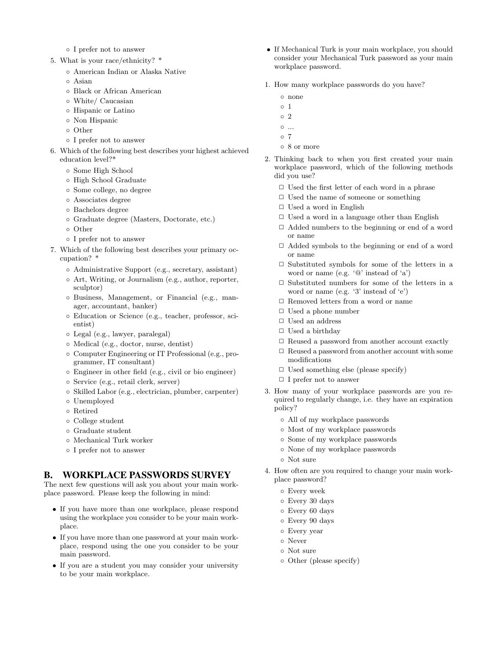- I prefer not to answer
- 5. What is your race/ethnicity? \*
	- American Indian or Alaska Native
	- Asian
	- Black or African American
	- White/ Caucasian
	- Hispanic or Latino
	- Non Hispanic
	- Other
	- I prefer not to answer
- 6. Which of the following best describes your highest achieved education level?\*
	- Some High School
	- High School Graduate
	- Some college, no degree
	- Associates degree
	- Bachelors degree
	- Graduate degree (Masters, Doctorate, etc.)
	- Other
	- I prefer not to answer
- 7. Which of the following best describes your primary occupation? \*
	- Administrative Support (e.g., secretary, assistant)
	- Art, Writing, or Journalism (e.g., author, reporter, sculptor)
	- Business, Management, or Financial (e.g., manager, accountant, banker)
	- Education or Science (e.g., teacher, professor, scientist)
	- Legal (e.g., lawyer, paralegal)
	- Medical (e.g., doctor, nurse, dentist)
	- Computer Engineering or IT Professional (e.g., programmer, IT consultant)
	- Engineer in other field (e.g., civil or bio engineer)
	- Service (e.g., retail clerk, server)
	- Skilled Labor (e.g., electrician, plumber, carpenter)
	- Unemployed
	- Retired
	- College student
	- Graduate student
	- Mechanical Turk worker
	- I prefer not to answer

### <span id="page-12-0"></span>B. WORKPLACE PASSWORDS SURVEY

The next few questions will ask you about your main workplace password. Please keep the following in mind:

- If you have more than one workplace, please respond using the workplace you consider to be your main workplace.
- If you have more than one password at your main workplace, respond using the one you consider to be your main password.
- If you are a student you may consider your university to be your main workplace.
- If Mechanical Turk is your main workplace, you should consider your Mechanical Turk password as your main workplace password.
- 1. How many workplace passwords do you have?
	- none
	- 1
	- 2
	- $\circ \dots$
	- 7
	- 8 or more
- 2. Thinking back to when you first created your main workplace password, which of the following methods did you use?
	- $\Box$  Used the first letter of each word in a phrase
	- ✷ Used the name of someone or something
	- $\Box$  Used a word in English
	- $\Box$  Used a word in a language other than English
	- $\Box$  Added numbers to the beginning or end of a word or name
	- $\Box$  Added symbols to the beginning or end of a word or name
	- $\Box$  Substituted symbols for some of the letters in a word or name (e.g. '@' instead of 'a')
	- $\Box$  Substituted numbers for some of the letters in a word or name (e.g. '3' instead of 'e')
	- $\Box$  Removed letters from a word or name
	- ✷ Used a phone number
	- $\Box$  Used an address
	- $\Box$  Used a birthday
	- $\Box$  Reused a password from another account exactly
	- $\Box$  Reused a password from another account with some modifications
	- $\Box$  Used something else (please specify)
	- $\Box$  I prefer not to answer
- 3. How many of your workplace passwords are you required to regularly change, i.e. they have an expiration policy?
	- All of my workplace passwords
	- Most of my workplace passwords
	- Some of my workplace passwords
	- None of my workplace passwords
	- Not sure
- 4. How often are you required to change your main workplace password?
	- Every week
	- Every 30 days
	- Every 60 days
	- Every 90 days
	- Every year
	- Never
	- Not sure
	- Other (please specify)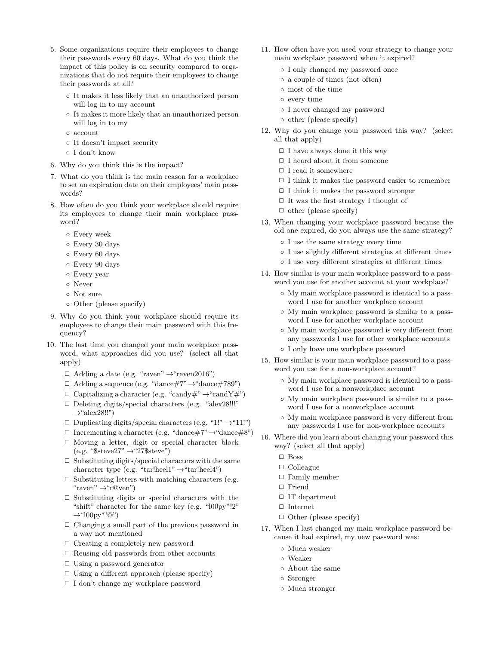- 5. Some organizations require their employees to change their passwords every 60 days. What do you think the impact of this policy is on security compared to organizations that do not require their employees to change their passwords at all?
	- It makes it less likely that an unauthorized person will log in to my account
	- It makes it more likely that an unauthorized person will log in to my
	- account
	- It doesn't impact security
	- I don't know
- 6. Why do you think this is the impact?
- 7. What do you think is the main reason for a workplace to set an expiration date on their employees' main passwords?
- 8. How often do you think your workplace should require its employees to change their main workplace password?
	- Every week
	- Every 30 days
	- Every 60 days
	- Every 90 days
	- Every year
	- Never
	- Not sure
	- Other (please specify)
- 9. Why do you think your workplace should require its employees to change their main password with this frequency?
- 10. The last time you changed your main workplace password, what approaches did you use? (select all that apply)
	- $\Box$  Adding a date (e.g. "raven"  $\rightarrow$  "raven2016")
	- $\Box$  Adding a sequence (e.g. "dance#7"  $\rightarrow$  "dance#789")
	- $\Box$  Capitalizing a character (e.g. "candy#"  $\rightarrow$  "candY#")
	- $\Box$  Deleting digits/special characters (e.g. "alex28!!!"  $\rightarrow$ "alex28!!")
	- $\Box$  Duplicating digits/special characters (e.g. "1!")  $\rightarrow$ "11!")
	- $\Box$  Incrementing a character (e.g. "dance#7"  $\rightarrow$  "dance#8")
	- □ Moving a letter, digit or special character block  $(e.g. "$steve27" \rightarrow "27$steve")$
	- $\Box$  Substituting digits/special characters with the same character type (e.g. "tar!heel1"  $\rightarrow$  "tar!heel4")
	- $\Box$  Substituting letters with matching characters (e.g. "raven"  $\rightarrow$ "r@ven")
	- $\Box$  Substituting digits or special characters with the "shift" character for the same key (e.g. "l00py\*!2"  $\rightarrow$ "l00py\*!@")
	- $\Box$  Changing a small part of the previous password in a way not mentioned
	- $\Box$  Creating a completely new password
	- $\Box$  Reusing old passwords from other accounts
	- □ Using a password generator
	- $\Box$  Using a different approach (please specify)
	- $\Box$  I don't change my workplace password
- 11. How often have you used your strategy to change your main workplace password when it expired?
	- I only changed my password once
	- a couple of times (not often)
	- most of the time
	- every time
	- I never changed my password
	- other (please specify)
- 12. Why do you change your password this way? (select all that apply)
	- $\Box$  I have always done it this way
	- $\Box$  I heard about it from someone
	- $\Box$  I read it somewhere
	- $\Box$  I think it makes the password easier to remember
	- $\Box$  I think it makes the password stronger
	- $\Box$  It was the first strategy I thought of
	- $\Box$  other (please specify)
- 13. When changing your workplace password because the old one expired, do you always use the same strategy?
	- I use the same strategy every time
	- I use slightly different strategies at different times
	- I use very different strategies at different times
- 14. How similar is your main workplace password to a password you use for another account at your workplace?
	- My main workplace password is identical to a password I use for another workplace account
	- My main workplace password is similar to a password I use for another workplace account
	- My main workplace password is very different from any passwords I use for other workplace accounts ◦ I only have one workplace password
- 15. How similar is your main workplace password to a pass
	- word you use for a non-workplace account? ◦ My main workplace password is identical to a password I use for a nonworkplace account
		- My main workplace password is similar to a password I use for a nonworkplace account
		- My main workplace password is very different from any passwords I use for non-workplace accounts
- 16. Where did you learn about changing your password this way? (select all that apply)
	- $\square$  Boss
	- □ Colleague
	- $\Box$  Family member
	- □ Friend
	- $\Box$  IT department
	- $\hfill\Box$ <br> <br> Internet
	- $\Box$  Other (please specify)
- 17. When I last changed my main workplace password because it had expired, my new password was:
	- Much weaker
	- Weaker
	- About the same
	- Stronger
	- Much stronger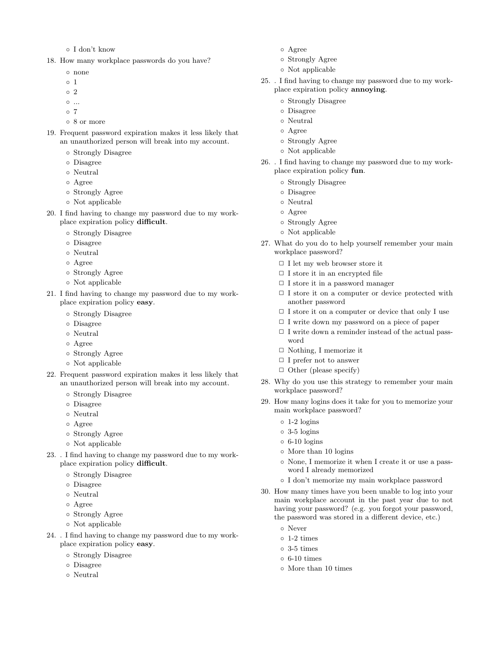◦ I don't know

18. How many workplace passwords do you have?

- none
- 1
- 2
- ...
- 7
- 8 or more
- 19. Frequent password expiration makes it less likely that an unauthorized person will break into my account.
	- Strongly Disagree
	- Disagree
	- Neutral
	- Agree
	- Strongly Agree
	- Not applicable
- 20. I find having to change my password due to my workplace expiration policy difficult.
	- Strongly Disagree
	- Disagree
	- Neutral
	- Agree
	- Strongly Agree
	- Not applicable
- 21. I find having to change my password due to my workplace expiration policy easy.
	- Strongly Disagree
	- Disagree
	- Neutral
	- Agree
	- Strongly Agree
	- Not applicable
- 22. Frequent password expiration makes it less likely that an unauthorized person will break into my account.
	- Strongly Disagree
	- Disagree
	- Neutral
	- Agree
	- Strongly Agree
	- Not applicable
- 23. . I find having to change my password due to my workplace expiration policy difficult.
	- Strongly Disagree
	- Disagree
	- Neutral
	- Agree
	- Strongly Agree
	- Not applicable
- 24. . I find having to change my password due to my workplace expiration policy easy.
	- Strongly Disagree
	- Disagree
	- Neutral
- Agree
- Strongly Agree
- Not applicable
- 25. . I find having to change my password due to my workplace expiration policy annoying.
	- Strongly Disagree
	- Disagree
	- Neutral
	- Agree
	- Strongly Agree
	- Not applicable
- 26. . I find having to change my password due to my workplace expiration policy fun.
	- Strongly Disagree
	- Disagree
	- Neutral
	- Agree
	- Strongly Agree
	- Not applicable
- 27. What do you do to help yourself remember your main workplace password?
	- $\Box$  I let my web browser store it
	- □ I store it in an encrypted file
	- $\Box$  I store it in a password manager
	- $\Box$  I store it on a computer or device protected with another password
	- $\Box$  I store it on a computer or device that only I use
	- ✷ I write down my password on a piece of paper
	- $\Box$  I write down a reminder instead of the actual password
	- $\Box$  Nothing, I memorize it
	- $\Box$  I prefer not to answer
	- $\Box$  Other (please specify)
- 28. Why do you use this strategy to remember your main workplace password?
- 29. How many logins does it take for you to memorize your main workplace password?
	- 1-2 logins
	- 3-5 logins
	- $\circ$  6-10 logins
	- More than 10 logins
	- None, I memorize it when I create it or use a password I already memorized
	- I don't memorize my main workplace password
- 30. How many times have you been unable to log into your main workplace account in the past year due to not having your password? (e.g. you forgot your password, the password was stored in a different device, etc.)
	- Never
	- 1-2 times
	- 3-5 times
	- $\circ$  6-10 times
	- More than 10 times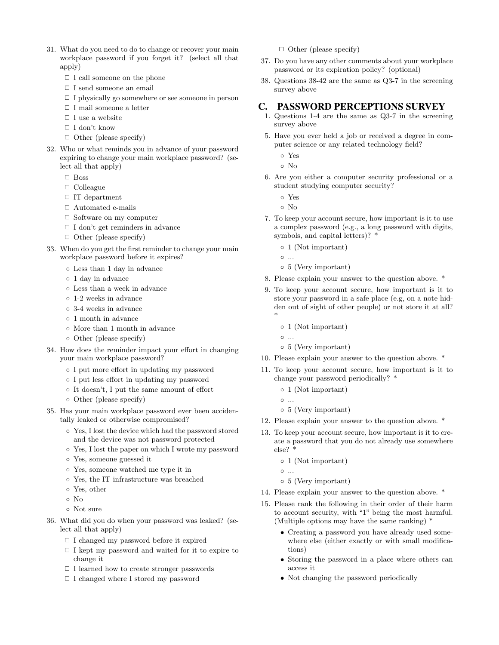- 31. What do you need to do to change or recover your main workplace password if you forget it? (select all that apply)
	- $\Box$  I call someone on the phone
	- $\Box$  I send someone an email
	- $\Box$  I physically go somewhere or see someone in person
	- $\hfill\Box$ <br/> I mail someone a letter
	- $\Box$  I use a website
	- $\Box$  I don't know
	- $\Box$  Other (please specify)
- 32. Who or what reminds you in advance of your password expiring to change your main workplace password? (select all that apply)
	- $\square$  Boss
	- □ Colleague
	- $\Box$  IT department
	- $\Box$  Automated e-mails
	- $\Box$  Software on my computer
	- $\Box$  I don't get reminders in advance
	- $\Box$  Other (please specify)
- 33. When do you get the first reminder to change your main workplace password before it expires?
	- Less than 1 day in advance
	- 1 day in advance
	- Less than a week in advance
	- 1-2 weeks in advance
	- 3-4 weeks in advance
	- 1 month in advance
	- More than 1 month in advance
	- Other (please specify)
- 34. How does the reminder impact your effort in changing your main workplace password?
	- I put more effort in updating my password
	- I put less effort in updating my password
	- It doesn't, I put the same amount of effort
	- Other (please specify)
- 35. Has your main workplace password ever been accidentally leaked or otherwise compromised?
	- Yes, I lost the device which had the password stored and the device was not password protected
	- Yes, I lost the paper on which I wrote my password
	- Yes, someone guessed it
	- Yes, someone watched me type it in
	- Yes, the IT infrastructure was breached
	- Yes, other
	- No
	- Not sure
- 36. What did you do when your password was leaked? (select all that apply)
	- ✷ I changed my password before it expired
	- $\Box$  I kept my password and waited for it to expire to change it
	- $\Box$  I learned how to create stronger passwords
	- $\Box$  I changed where I stored my password

 $\Box$  Other (please specify)

- 37. Do you have any other comments about your workplace password or its expiration policy? (optional)
- 38. Questions 38-42 are the same as Q3-7 in the screening survey above

#### <span id="page-15-0"></span>C. PASSWORD PERCEPTIONS SURVEY

- 1. Questions 1-4 are the same as Q3-7 in the screening survey above
- 5. Have you ever held a job or received a degree in computer science or any related technology field?
	- Yes

◦ No

- 6. Are you either a computer security professional or a student studying computer security?
	- Yes
	- No
- 7. To keep your account secure, how important is it to use a complex password (e.g., a long password with digits, symbols, and capital letters)? \*
	- 1 (Not important)

◦ ...

- 5 (Very important)
- 8. Please explain your answer to the question above. \*
- 9. To keep your account secure, how important is it to store your password in a safe place (e.g, on a note hidden out of sight of other people) or not store it at all? \*
	- 1 (Not important)

◦ ...

- 5 (Very important)
- 10. Please explain your answer to the question above. \*
- 11. To keep your account secure, how important is it to change your password periodically? \*
	- 1 (Not important)
	- ...
	- 5 (Very important)
- 12. Please explain your answer to the question above. \*
- 13. To keep your account secure, how important is it to create a password that you do not already use somewhere else? \*
	- 1 (Not important)
	- ...

◦ 5 (Very important)

- 14. Please explain your answer to the question above. \*
- 15. Please rank the following in their order of their harm to account security, with "1" being the most harmful. (Multiple options may have the same ranking) \*
	- Creating a password you have already used somewhere else (either exactly or with small modifications)
	- Storing the password in a place where others can access it
	- Not changing the password periodically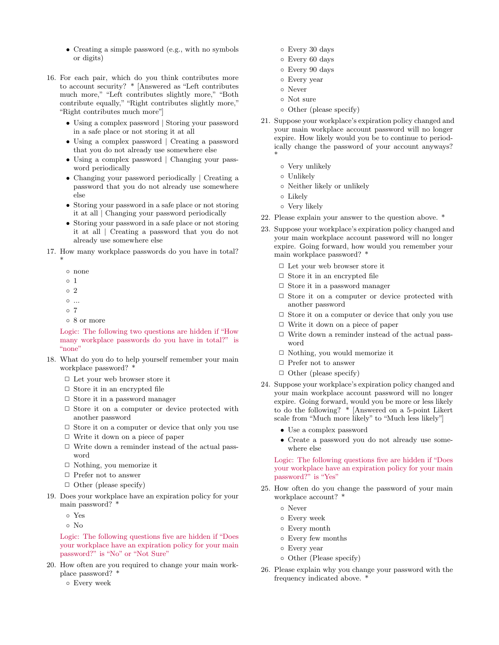- Creating a simple password (e.g., with no symbols or digits)
- 16. For each pair, which do you think contributes more to account security? \* [Answered as "Left contributes much more," "Left contributes slightly more," "Both contribute equally," "Right contributes slightly more," "Right contributes much more"]
	- Using a complex password | Storing your password in a safe place or not storing it at all
	- Using a complex password | Creating a password that you do not already use somewhere else
	- Using a complex password | Changing your password periodically
	- Changing your password periodically | Creating a password that you do not already use somewhere else
	- Storing your password in a safe place or not storing it at all | Changing your password periodically
	- Storing your password in a safe place or not storing it at all | Creating a password that you do not already use somewhere else
- 17. How many workplace passwords do you have in total? \*
	- none
	- 1
	- 2
	- ...
	- 7
	- 8 or more

Logic: The following two questions are hidden if "How many workplace passwords do you have in total?" is "none"

- 18. What do you do to help yourself remember your main workplace password? \*
	- □ Let your web browser store it
	- $\Box$  Store it in an encrypted file
	- $\Box$  Store it in a password manager
	- $\Box$  Store it on a computer or device protected with another password
	- $\Box$  Store it on a computer or device that only you use
	- $\Box$  Write it down on a piece of paper
	- $\Box$  Write down a reminder instead of the actual password
	- ✷ Nothing, you memorize it
	- $\Box$  Prefer not to answer
	- $\Box$  Other (please specify)
- 19. Does your workplace have an expiration policy for your main password? \*
	- Yes
	- No

Logic: The following questions five are hidden if "Does your workplace have an expiration policy for your main password?" is "No" or "Not Sure"

20. How often are you required to change your main workplace password? \*

◦ Every week

- Every 30 days
- Every 60 days
- Every 90 days
- Every year
- Never
- Not sure
- Other (please specify)
- 21. Suppose your workplace's expiration policy changed and your main workplace account password will no longer expire. How likely would you be to continue to periodically change the password of your account anyways? \*
	- Very unlikely
	- Unlikely
	- Neither likely or unlikely
	- Likely
	- Very likely
- 22. Please explain your answer to the question above. \*
- 23. Suppose your workplace's expiration policy changed and your main workplace account password will no longer expire. Going forward, how would you remember your main workplace password? \*
	- $\Box$  Let your web browser store it
	- $\Box$  <br> Store it in an encrypted file
	- $\Box$  Store it in a password manager
	- □ Store it on a computer or device protected with another password
	- $\Box$  Store it on a computer or device that only you use
	- $\Box$  Write it down on a piece of paper
	- $\Box$  Write down a reminder instead of the actual password
	- $\hfill\Box$  Nothing, you would memorize it
	- $\Box$  Prefer not to answer
	- $\Box$  Other (please specify)
- 24. Suppose your workplace's expiration policy changed and your main workplace account password will no longer expire. Going forward, would you be more or less likely to do the following? \* [Answered on a 5-point Likert scale from "Much more likely" to "Much less likely"]
	- Use a complex password
	- Create a password you do not already use somewhere else

Logic: The following questions five are hidden if "Does your workplace have an expiration policy for your main password?" is "Yes"

- 25. How often do you change the password of your main workplace account? \*
	- Never
	- Every week
	- Every month
	- Every few months
	- Every year
	- Other (Please specify)
- 26. Please explain why you change your password with the frequency indicated above. \*